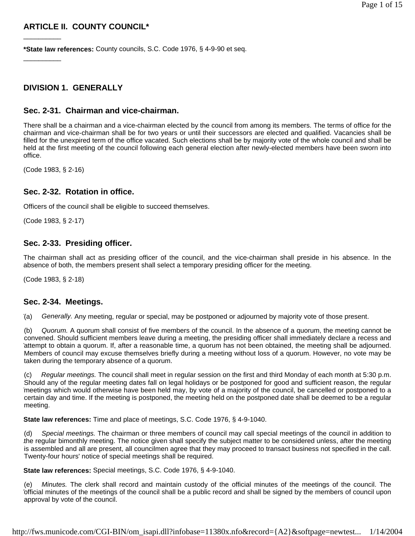## **ARTICLE II. COUNTY COUNCIL\***

**\*State law references:** County councils, S.C. Code 1976, § 4-9-90 et seq.

## **DIVISION 1. GENERALLY**

#### **Sec. 2-31. Chairman and vice-chairman.**

There shall be a chairman and a vice-chairman elected by the council from among its members. The terms of office for the chairman and vice-chairman shall be for two years or until their successors are elected and qualified. Vacancies shall be filled for the unexpired term of the office vacated. Such elections shall be by majority vote of the whole council and shall be held at the first meeting of the council following each general election after newly-elected members have been sworn into office.

(Code 1983, § 2-16)

\_\_\_\_\_\_\_\_\_\_

\_\_\_\_\_\_\_\_\_\_

### **Sec. 2-32. Rotation in office.**

Officers of the council shall be eligible to succeed themselves.

(Code 1983, § 2-17)

### **Sec. 2-33. Presiding officer.**

The chairman shall act as presiding officer of the council, and the vice-chairman shall preside in his absence. In the absence of both, the members present shall select a temporary presiding officer for the meeting.

(Code 1983, § 2-18)

#### **Sec. 2-34. Meetings.**

(a) *Generally.* Any meeting, regular or special, may be postponed or adjourned by majority vote of those present.

(b) *Quorum.* A quorum shall consist of five members of the council. In the absence of a quorum, the meeting cannot be convened. Should sufficient members leave during a meeting, the presiding officer shall immediately declare a recess and attempt to obtain a quorum. If, after a reasonable time, a quorum has not been obtained, the meeting shall be adjourned. Members of council may excuse themselves briefly during a meeting without loss of a quorum. However, no vote may be taken during the temporary absence of a quorum.

(c) *Regular meetings.* The council shall meet in regular session on the first and third Monday of each month at 5:30 p.m. Should any of the regular meeting dates fall on legal holidays or be postponed for good and sufficient reason, the regular meetings which would otherwise have been held may, by vote of a majority of the council, be cancelled or postponed to a certain day and time. If the meeting is postponed, the meeting held on the postponed date shall be deemed to be a regular meeting.

**State law references:** Time and place of meetings, S.C. Code 1976, § 4-9-1040.

(d) *Special meetings.* The chairman or three members of council may call special meetings of the council in addition to the regular bimonthly meeting. The notice given shall specify the subject matter to be considered unless, after the meeting is assembled and all are present, all councilmen agree that they may proceed to transact business not specified in the call. Twenty-four hours' notice of special meetings shall be required.

**State law references:** Special meetings, S.C. Code 1976, § 4-9-1040.

(e) *Minutes.* The clerk shall record and maintain custody of the official minutes of the meetings of the council. The official minutes of the meetings of the council shall be a public record and shall be signed by the members of council upon approval by vote of the council.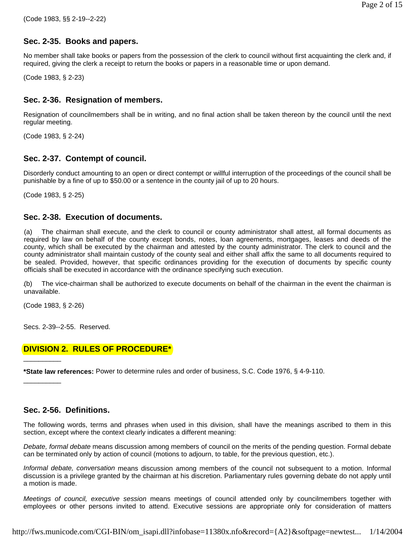# **Sec. 2-35. Books and papers.**

No member shall take books or papers from the possession of the clerk to council without first acquainting the clerk and, if required, giving the clerk a receipt to return the books or papers in a reasonable time or upon demand.

(Code 1983, § 2-23)

# **Sec. 2-36. Resignation of members.**

Resignation of councilmembers shall be in writing, and no final action shall be taken thereon by the council until the next regular meeting.

(Code 1983, § 2-24)

# **Sec. 2-37. Contempt of council.**

Disorderly conduct amounting to an open or direct contempt or willful interruption of the proceedings of the council shall be punishable by a fine of up to \$50.00 or a sentence in the county jail of up to 20 hours.

(Code 1983, § 2-25)

# **Sec. 2-38. Execution of documents.**

(a) The chairman shall execute, and the clerk to council or county administrator shall attest, all formal documents as required by law on behalf of the county except bonds, notes, loan agreements, mortgages, leases and deeds of the county, which shall be executed by the chairman and attested by the county administrator. The clerk to council and the county administrator shall maintain custody of the county seal and either shall affix the same to all documents required to be sealed. Provided, however, that specific ordinances providing for the execution of documents by specific county officials shall be executed in accordance with the ordinance specifying such execution.

(b) The vice-chairman shall be authorized to execute documents on behalf of the chairman in the event the chairman is unavailable.

(Code 1983, § 2-26)

\_\_\_\_\_\_\_\_\_\_

\_\_\_\_\_\_\_\_\_\_

Secs. 2-39--2-55. Reserved.

## **DIVISION 2. RULES OF PROCEDURE\***

**\*State law references:** Power to determine rules and order of business, S.C. Code 1976, § 4-9-110.

## **Sec. 2-56. Definitions.**

The following words, terms and phrases when used in this division, shall have the meanings ascribed to them in this section, except where the context clearly indicates a different meaning:

*Debate, formal debate* means discussion among members of council on the merits of the pending question. Formal debate can be terminated only by action of council (motions to adjourn, to table, for the previous question, etc.).

*Informal debate, conversation* means discussion among members of the council not subsequent to a motion. Informal discussion is a privilege granted by the chairman at his discretion. Parliamentary rules governing debate do not apply until a motion is made.

*Meetings of council, executive session* means meetings of council attended only by councilmembers together with employees or other persons invited to attend. Executive sessions are appropriate only for consideration of matters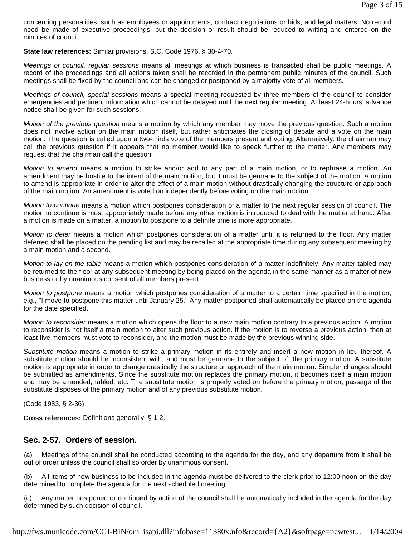concerning personalities, such as employees or appointments, contract negotiations or bids, and legal matters. No record need be made of executive proceedings, but the decision or result should be reduced to writing and entered on the minutes of council.

**State law references:** Similar provisions, S.C. Code 1976, § 30-4-70.

*Meetings of council, regular sessions* means all meetings at which business is transacted shall be public meetings. A record of the proceedings and all actions taken shall be recorded in the permanent public minutes of the council. Such meetings shall be fixed by the council and can be changed or postponed by a majority vote of all members.

*Meetings of council, special sessions* means a special meeting requested by three members of the council to consider emergencies and pertinent information which cannot be delayed until the next regular meeting. At least 24-hours' advance notice shall be given for such sessions.

*Motion of the previous question* means a motion by which any member may move the previous question. Such a motion does not involve action on the main motion itself, but rather anticipates the closing of debate and a vote on the main motion. The question is called upon a two-thirds vote of the members present and voting. Alternatively, the chairman may call the previous question if it appears that no member would like to speak further to the matter. Any members may request that the chairman call the question.

*Motion to amend* means a motion to strike and/or add to any part of a main motion, or to rephrase a motion. An amendment may be hostile to the intent of the main motion, but it must be germane to the subject of the motion. A motion to amend is appropriate in order to alter the effect of a main motion without drastically changing the structure or approach of the main motion. An amendment is voted on independently before voting on the main motion.

*Motion to continue* means a motion which postpones consideration of a matter to the next regular session of council. The motion to continue is most appropriately made before any other motion is introduced to deal with the matter at hand. After a motion is made on a matter, a motion to postpone to a definite time is more appropriate.

*Motion to defer* means a motion which postpones consideration of a matter until it is returned to the floor. Any matter deferred shall be placed on the pending list and may be recalled at the appropriate time during any subsequent meeting by a main motion and a second.

*Motion to lay on the table* means a motion which postpones consideration of a matter indefinitely. Any matter tabled may be returned to the floor at any subsequent meeting by being placed on the agenda in the same manner as a matter of new business or by unanimous consent of all members present.

*Motion to postpone* means a motion which postpones consideration of a matter to a certain time specified in the motion, e.g., "I move to postpone this matter until January 25." Any matter postponed shall automatically be placed on the agenda for the date specified.

*Motion to reconsider* means a motion which opens the floor to a new main motion contrary to a previous action. A motion to reconsider is not itself a main motion to alter such previous action. If the motion is to reverse a previous action, then at least five members must vote to reconsider, and the motion must be made by the previous winning side.

*Substitute motion* means a motion to strike a primary motion in its entirety and insert a new motion in lieu thereof. A substitute motion should be inconsistent with, and must be germane to the subject of, the primary motion. A substitute motion is appropriate in order to change drastically the structure or approach of the main motion. Simpler changes should be submitted as amendments. Since the substitute motion replaces the primary motion, it becomes itself a main motion and may be amended, tabled, etc. The substitute motion is properly voted on before the primary motion; passage of the substitute disposes of the primary motion and of any previous substitute motion.

(Code 1983, § 2-36)

**Cross references:** Definitions generally, § 1-2.

## **Sec. 2-57. Orders of session.**

(a) Meetings of the council shall be conducted according to the agenda for the day, and any departure from it shall be out of order unless the council shall so order by unanimous consent.

(b) All items of new business to be included in the agenda must be delivered to the clerk prior to 12:00 noon on the day determined to complete the agenda for the next scheduled meeting.

(c) Any matter postponed or continued by action of the council shall be automatically included in the agenda for the day determined by such decision of council.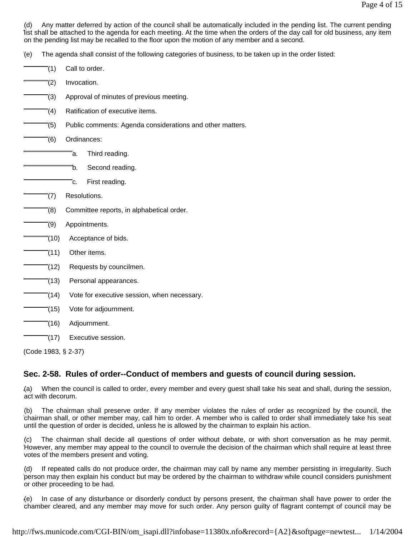(d) Any matter deferred by action of the council shall be automatically included in the pending list. The current pending list shall be attached to the agenda for each meeting. At the time when the orders of the day call for old business, any item on the pending list may be recalled to the floor upon the motion of any member and a second.

(e) The agenda shall consist of the following categories of business, to be taken up in the order listed:

- (1) Call to order.
- $(2)$  Invocation.
- (3) Approval of minutes of previous meeting.
- (4) Ratification of executive items.
- (5) Public comments: Agenda considerations and other matters.
- (6) Ordinances:
	- a. Third reading.
	- b. Second reading.
	- c. First reading.
- (7) Resolutions.
- (8) Committee reports, in alphabetical order.
- $(9)$  Appointments.
- $\sqrt{\ }$ (10) Acceptance of bids.
- $\bar{e}(11)$  Other items.
- $\overline{-(12)}$  Requests by councilmen.
- (13) Personal appearances.
- (14) Vote for executive session, when necessary.
- (15) Vote for adjournment.
- (16) Adjournment.
- (17) Executive session.

(Code 1983, § 2-37)

## **Sec. 2-58. Rules of order--Conduct of members and guests of council during session.**

(a) When the council is called to order, every member and every guest shall take his seat and shall, during the session, act with decorum.

(b) The chairman shall preserve order. If any member violates the rules of order as recognized by the council, the chairman shall, or other member may, call him to order. A member who is called to order shall immediately take his seat until the question of order is decided, unless he is allowed by the chairman to explain his action.

(c) The chairman shall decide all questions of order without debate, or with short conversation as he may permit. However, any member may appeal to the council to overrule the decision of the chairman which shall require at least three votes of the members present and voting.

(d) If repeated calls do not produce order, the chairman may call by name any member persisting in irregularity. Such person may then explain his conduct but may be ordered by the chairman to withdraw while council considers punishment or other proceeding to be had.

(e) In case of any disturbance or disorderly conduct by persons present, the chairman shall have power to order the chamber cleared, and any member may move for such order. Any person guilty of flagrant contempt of council may be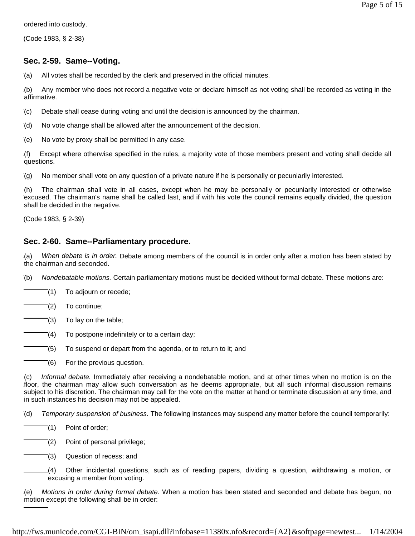ordered into custody.

(Code 1983, § 2-38)

## **Sec. 2-59. Same--Voting.**

(a) All votes shall be recorded by the clerk and preserved in the official minutes.

(b) Any member who does not record a negative vote or declare himself as not voting shall be recorded as voting in the affirmative.

(c) Debate shall cease during voting and until the decision is announced by the chairman.

(d) No vote change shall be allowed after the announcement of the decision.

(e) No vote by proxy shall be permitted in any case.

(f) Except where otherwise specified in the rules, a majority vote of those members present and voting shall decide all questions.

(g) No member shall vote on any question of a private nature if he is personally or pecuniarily interested.

(h) The chairman shall vote in all cases, except when he may be personally or pecuniarily interested or otherwise excused. The chairman's name shall be called last, and if with his vote the council remains equally divided, the question shall be decided in the negative.

(Code 1983, § 2-39)

## **Sec. 2-60. Same--Parliamentary procedure.**

(a) *When debate is in order.* Debate among members of the council is in order only after a motion has been stated by the chairman and seconded.

(b) *Nondebatable motions.* Certain parliamentary motions must be decided without formal debate. These motions are:

(1) To adjourn or recede;

(2) To continue;

(3) To lay on the table;

(4) To postpone indefinitely or to a certain day;

(5) To suspend or depart from the agenda, or to return to it; and

(6) For the previous question.

(c) *Informal debate.* Immediately after receiving a nondebatable motion, and at other times when no motion is on the floor, the chairman may allow such conversation as he deems appropriate, but all such informal discussion remains subject to his discretion. The chairman may call for the vote on the matter at hand or terminate discussion at any time, and in such instances his decision may not be appealed.

(d) *Temporary suspension of business.* The following instances may suspend any matter before the council temporarily:

(1) Point of order;

(2) Point of personal privilege;

(3) Question of recess; and

(4) Other incidental questions, such as of reading papers, dividing a question, withdrawing a motion, or excusing a member from voting.

(e) *Motions in order during formal debate.* When a motion has been stated and seconded and debate has begun, no motion except the following shall be in order: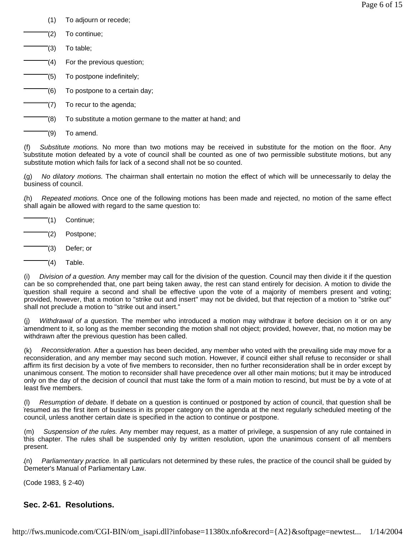- (1) To adjourn or recede;
- (2) To continue;
- (3) To table;
- (4) For the previous question;
- (5) To postpone indefinitely;
- (6) To postpone to a certain day;
- (7) To recur to the agenda;
	- (8) To substitute a motion germane to the matter at hand; and
		- (9) To amend.

(f) *Substitute motions.* No more than two motions may be received in substitute for the motion on the floor. Any substitute motion defeated by a vote of council shall be counted as one of two permissible substitute motions, but any substitute motion which fails for lack of a second shall not be so counted.

(g) *No dilatory motions.* The chairman shall entertain no motion the effect of which will be unnecessarily to delay the business of council.

(h) *Repeated motions.* Once one of the following motions has been made and rejected, no motion of the same effect shall again be allowed with regard to the same question to:

- (1) Continue;
- (2) Postpone;
- (3) Defer; or
- $(4)$  Table.

(i) *Division of a question.* Any member may call for the division of the question. Council may then divide it if the question can be so comprehended that, one part being taken away, the rest can stand entirely for decision. A motion to divide the question shall require a second and shall be effective upon the vote of a majority of members present and voting; provided, however, that a motion to "strike out and insert" may not be divided, but that rejection of a motion to "strike out" shall not preclude a motion to "strike out and insert."

(j) *Withdrawal of a question.* The member who introduced a motion may withdraw it before decision on it or on any amendment to it, so long as the member seconding the motion shall not object; provided, however, that, no motion may be withdrawn after the previous question has been called.

(k) *Reconsideration.* After a question has been decided, any member who voted with the prevailing side may move for a reconsideration, and any member may second such motion. However, if council either shall refuse to reconsider or shall affirm its first decision by a vote of five members to reconsider, then no further reconsideration shall be in order except by unanimous consent. The motion to reconsider shall have precedence over all other main motions; but it may be introduced only on the day of the decision of council that must take the form of a main motion to rescind, but must be by a vote of at least five members.

(l) *Resumption of debate.* If debate on a question is continued or postponed by action of council, that question shall be resumed as the first item of business in its proper category on the agenda at the next regularly scheduled meeting of the council, unless another certain date is specified in the action to continue or postpone.

(m) *Suspension of the rules.* Any member may request, as a matter of privilege, a suspension of any rule contained in this chapter. The rules shall be suspended only by written resolution, upon the unanimous consent of all members present.

(n) *Parliamentary practice.* In all particulars not determined by these rules, the practice of the council shall be guided by Demeter's Manual of Parliamentary Law.

(Code 1983, § 2-40)

# **Sec. 2-61. Resolutions.**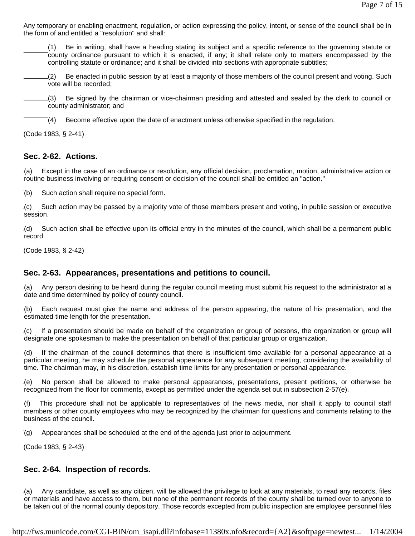Any temporary or enabling enactment, regulation, or action expressing the policy, intent, or sense of the council shall be in the form of and entitled a "resolution" and shall:

(1) Be in writing, shall have a heading stating its subject and a specific reference to the governing statute or county ordinance pursuant to which it is enacted, if any; it shall relate only to matters encompassed by the controlling statute or ordinance; and it shall be divided into sections with appropriate subtitles;

(2) Be enacted in public session by at least a majority of those members of the council present and voting. Such vote will be recorded;

(3) Be signed by the chairman or vice-chairman presiding and attested and sealed by the clerk to council or county administrator; and

(4) Become effective upon the date of enactment unless otherwise specified in the regulation.

(Code 1983, § 2-41)

#### **Sec. 2-62. Actions.**

(a) Except in the case of an ordinance or resolution, any official decision, proclamation, motion, administrative action or routine business involving or requiring consent or decision of the council shall be entitled an "action."

(b) Such action shall require no special form.

(c) Such action may be passed by a majority vote of those members present and voting, in public session or executive session.

(d) Such action shall be effective upon its official entry in the minutes of the council, which shall be a permanent public record.

(Code 1983, § 2-42)

## **Sec. 2-63. Appearances, presentations and petitions to council.**

(a) Any person desiring to be heard during the regular council meeting must submit his request to the administrator at a date and time determined by policy of county council.

(b) Each request must give the name and address of the person appearing, the nature of his presentation, and the estimated time length for the presentation.

(c) If a presentation should be made on behalf of the organization or group of persons, the organization or group will designate one spokesman to make the presentation on behalf of that particular group or organization.

(d) If the chairman of the council determines that there is insufficient time available for a personal appearance at a particular meeting, he may schedule the personal appearance for any subsequent meeting, considering the availability of time. The chairman may, in his discretion, establish time limits for any presentation or personal appearance.

(e) No person shall be allowed to make personal appearances, presentations, present petitions, or otherwise be recognized from the floor for comments, except as permitted under the agenda set out in subsection 2-57(e).

(f) This procedure shall not be applicable to representatives of the news media, nor shall it apply to council staff members or other county employees who may be recognized by the chairman for questions and comments relating to the business of the council.

(g) Appearances shall be scheduled at the end of the agenda just prior to adjournment.

(Code 1983, § 2-43)

## **Sec. 2-64. Inspection of records.**

(a) Any candidate, as well as any citizen, will be allowed the privilege to look at any materials, to read any records, files or materials and have access to them, but none of the permanent records of the county shall be turned over to anyone to be taken out of the normal county depository. Those records excepted from public inspection are employee personnel files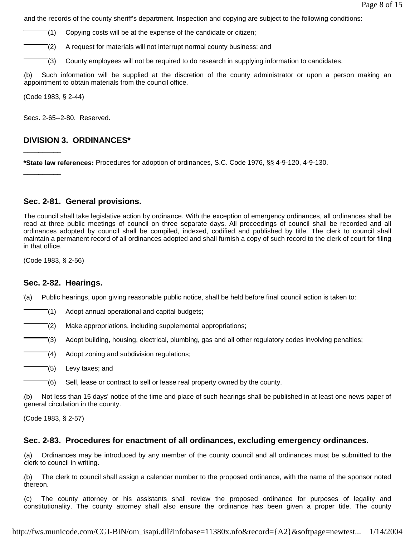and the records of the county sheriff's department. Inspection and copying are subject to the following conditions:

 $\sqrt{\frac{1}{1}}$  Copying costs will be at the expense of the candidate or citizen;

(2) A request for materials will not interrupt normal county business; and

(3) County employees will not be required to do research in supplying information to candidates.

(b) Such information will be supplied at the discretion of the county administrator or upon a person making an appointment to obtain materials from the council office.

(Code 1983, § 2-44)

\_\_\_\_\_\_\_\_\_\_

\_\_\_\_\_\_\_\_\_\_

Secs. 2-65--2-80. Reserved.

#### **DIVISION 3. ORDINANCES\***

**\*State law references:** Procedures for adoption of ordinances, S.C. Code 1976, §§ 4-9-120, 4-9-130.

#### **Sec. 2-81. General provisions.**

The council shall take legislative action by ordinance. With the exception of emergency ordinances, all ordinances shall be read at three public meetings of council on three separate days. All proceedings of council shall be recorded and all ordinances adopted by council shall be compiled, indexed, codified and published by title. The clerk to council shall maintain a permanent record of all ordinances adopted and shall furnish a copy of such record to the clerk of court for filing in that office.

(Code 1983, § 2-56)

#### **Sec. 2-82. Hearings.**

(a) Public hearings, upon giving reasonable public notice, shall be held before final council action is taken to:

(1) Adopt annual operational and capital budgets;

(2) Make appropriations, including supplemental appropriations;

(3) Adopt building, housing, electrical, plumbing, gas and all other regulatory codes involving penalties;

(4) Adopt zoning and subdivision regulations;

- (5) Levy taxes; and
	- (6) Sell, lease or contract to sell or lease real property owned by the county.

(b) Not less than 15 days' notice of the time and place of such hearings shall be published in at least one news paper of general circulation in the county.

(Code 1983, § 2-57)

#### **Sec. 2-83. Procedures for enactment of all ordinances, excluding emergency ordinances.**

(a) Ordinances may be introduced by any member of the county council and all ordinances must be submitted to the clerk to council in writing.

(b) The clerk to council shall assign a calendar number to the proposed ordinance, with the name of the sponsor noted thereon.

(c) The county attorney or his assistants shall review the proposed ordinance for purposes of legality and constitutionality. The county attorney shall also ensure the ordinance has been given a proper title. The county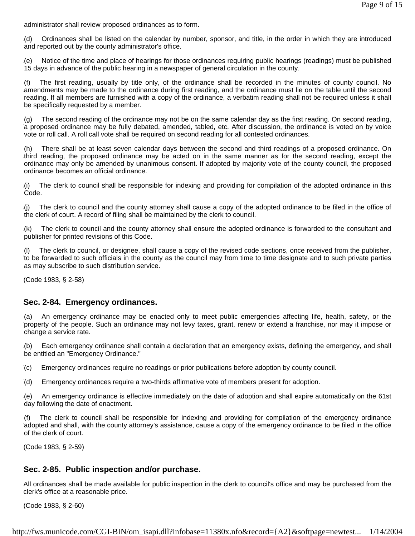administrator shall review proposed ordinances as to form.

(d) Ordinances shall be listed on the calendar by number, sponsor, and title, in the order in which they are introduced and reported out by the county administrator's office.

(e) Notice of the time and place of hearings for those ordinances requiring public hearings (readings) must be published 15 days in advance of the public hearing in a newspaper of general circulation in the county.

(f) The first reading, usually by title only, of the ordinance shall be recorded in the minutes of county council. No amendments may be made to the ordinance during first reading, and the ordinance must lie on the table until the second reading. If all members are furnished with a copy of the ordinance, a verbatim reading shall not be required unless it shall be specifically requested by a member.

(g) The second reading of the ordinance may not be on the same calendar day as the first reading. On second reading, a proposed ordinance may be fully debated, amended, tabled, etc. After discussion, the ordinance is voted on by voice vote or roll call. A roll call vote shall be required on second reading for all contested ordinances.

(h) There shall be at least seven calendar days between the second and third readings of a proposed ordinance. On third reading, the proposed ordinance may be acted on in the same manner as for the second reading, except the ordinance may only be amended by unanimous consent. If adopted by majority vote of the county council, the proposed ordinance becomes an official ordinance.

(i) The clerk to council shall be responsible for indexing and providing for compilation of the adopted ordinance in this Code.

(j) The clerk to council and the county attorney shall cause a copy of the adopted ordinance to be filed in the office of the clerk of court. A record of filing shall be maintained by the clerk to council.

(k) The clerk to council and the county attorney shall ensure the adopted ordinance is forwarded to the consultant and publisher for printed revisions of this Code.

(l) The clerk to council, or designee, shall cause a copy of the revised code sections, once received from the publisher, to be forwarded to such officials in the county as the council may from time to time designate and to such private parties as may subscribe to such distribution service.

(Code 1983, § 2-58)

#### **Sec. 2-84. Emergency ordinances.**

(a) An emergency ordinance may be enacted only to meet public emergencies affecting life, health, safety, or the property of the people. Such an ordinance may not levy taxes, grant, renew or extend a franchise, nor may it impose or change a service rate.

(b) Each emergency ordinance shall contain a declaration that an emergency exists, defining the emergency, and shall be entitled an "Emergency Ordinance."

(c) Emergency ordinances require no readings or prior publications before adoption by county council.

(d) Emergency ordinances require a two-thirds affirmative vote of members present for adoption.

(e) An emergency ordinance is effective immediately on the date of adoption and shall expire automatically on the 61st day following the date of enactment.

(f) The clerk to council shall be responsible for indexing and providing for compilation of the emergency ordinance adopted and shall, with the county attorney's assistance, cause a copy of the emergency ordinance to be filed in the office of the clerk of court.

(Code 1983, § 2-59)

## **Sec. 2-85. Public inspection and/or purchase.**

All ordinances shall be made available for public inspection in the clerk to council's office and may be purchased from the clerk's office at a reasonable price.

(Code 1983, § 2-60)

http://fws.municode.com/CGI-BIN/om\_isapi.dll?infobase=11380x.nfo&record={A2}&softpage=newtest... 1/14/2004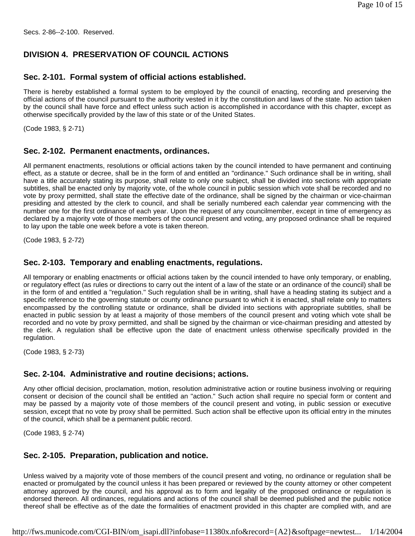Secs. 2-86--2-100. Reserved.

## **DIVISION 4. PRESERVATION OF COUNCIL ACTIONS**

### **Sec. 2-101. Formal system of official actions established.**

There is hereby established a formal system to be employed by the council of enacting, recording and preserving the official actions of the council pursuant to the authority vested in it by the constitution and laws of the state. No action taken by the council shall have force and effect unless such action is accomplished in accordance with this chapter, except as otherwise specifically provided by the law of this state or of the United States.

(Code 1983, § 2-71)

### **Sec. 2-102. Permanent enactments, ordinances.**

All permanent enactments, resolutions or official actions taken by the council intended to have permanent and continuing effect, as a statute or decree, shall be in the form of and entitled an "ordinance." Such ordinance shall be in writing, shall have a title accurately stating its purpose, shall relate to only one subject, shall be divided into sections with appropriate subtitles, shall be enacted only by majority vote, of the whole council in public session which vote shall be recorded and no vote by proxy permitted, shall state the effective date of the ordinance, shall be signed by the chairman or vice-chairman presiding and attested by the clerk to council, and shall be serially numbered each calendar year commencing with the number one for the first ordinance of each year. Upon the request of any councilmember, except in time of emergency as declared by a majority vote of those members of the council present and voting, any proposed ordinance shall be required to lay upon the table one week before a vote is taken thereon.

(Code 1983, § 2-72)

#### **Sec. 2-103. Temporary and enabling enactments, regulations.**

All temporary or enabling enactments or official actions taken by the council intended to have only temporary, or enabling, or regulatory effect (as rules or directions to carry out the intent of a law of the state or an ordinance of the council) shall be in the form of and entitled a "regulation." Such regulation shall be in writing, shall have a heading stating its subject and a specific reference to the governing statute or county ordinance pursuant to which it is enacted, shall relate only to matters encompassed by the controlling statute or ordinance, shall be divided into sections with appropriate subtitles, shall be enacted in public session by at least a majority of those members of the council present and voting which vote shall be recorded and no vote by proxy permitted, and shall be signed by the chairman or vice-chairman presiding and attested by the clerk. A regulation shall be effective upon the date of enactment unless otherwise specifically provided in the regulation.

(Code 1983, § 2-73)

# **Sec. 2-104. Administrative and routine decisions; actions.**

Any other official decision, proclamation, motion, resolution administrative action or routine business involving or requiring consent or decision of the council shall be entitled an "action." Such action shall require no special form or content and may be passed by a majority vote of those members of the council present and voting, in public session or executive session, except that no vote by proxy shall be permitted. Such action shall be effective upon its official entry in the minutes of the council, which shall be a permanent public record.

(Code 1983, § 2-74)

# **Sec. 2-105. Preparation, publication and notice.**

Unless waived by a majority vote of those members of the council present and voting, no ordinance or regulation shall be enacted or promulgated by the council unless it has been prepared or reviewed by the county attorney or other competent attorney approved by the council, and his approval as to form and legality of the proposed ordinance or regulation is endorsed thereon. All ordinances, regulations and actions of the council shall be deemed published and the public notice thereof shall be effective as of the date the formalities of enactment provided in this chapter are complied with, and are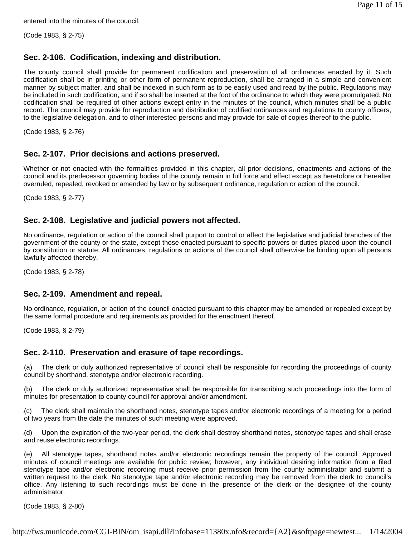entered into the minutes of the council.

(Code 1983, § 2-75)

## **Sec. 2-106. Codification, indexing and distribution.**

The county council shall provide for permanent codification and preservation of all ordinances enacted by it. Such codification shall be in printing or other form of permanent reproduction, shall be arranged in a simple and convenient manner by subject matter, and shall be indexed in such form as to be easily used and read by the public. Regulations may be included in such codification, and if so shall be inserted at the foot of the ordinance to which they were promulgated. No codification shall be required of other actions except entry in the minutes of the council, which minutes shall be a public record. The council may provide for reproduction and distribution of codified ordinances and regulations to county officers, to the legislative delegation, and to other interested persons and may provide for sale of copies thereof to the public.

(Code 1983, § 2-76)

### **Sec. 2-107. Prior decisions and actions preserved.**

Whether or not enacted with the formalities provided in this chapter, all prior decisions, enactments and actions of the council and its predecessor governing bodies of the county remain in full force and effect except as heretofore or hereafter overruled, repealed, revoked or amended by law or by subsequent ordinance, regulation or action of the council.

(Code 1983, § 2-77)

## **Sec. 2-108. Legislative and judicial powers not affected.**

No ordinance, regulation or action of the council shall purport to control or affect the legislative and judicial branches of the government of the county or the state, except those enacted pursuant to specific powers or duties placed upon the council by constitution or statute. All ordinances, regulations or actions of the council shall otherwise be binding upon all persons lawfully affected thereby.

(Code 1983, § 2-78)

#### **Sec. 2-109. Amendment and repeal.**

No ordinance, regulation, or action of the council enacted pursuant to this chapter may be amended or repealed except by the same formal procedure and requirements as provided for the enactment thereof.

(Code 1983, § 2-79)

## **Sec. 2-110. Preservation and erasure of tape recordings.**

(a) The clerk or duly authorized representative of council shall be responsible for recording the proceedings of county council by shorthand, stenotype and/or electronic recording.

(b) The clerk or duly authorized representative shall be responsible for transcribing such proceedings into the form of minutes for presentation to county council for approval and/or amendment.

(c) The clerk shall maintain the shorthand notes, stenotype tapes and/or electronic recordings of a meeting for a period of two years from the date the minutes of such meeting were approved.

(d) Upon the expiration of the two-year period, the clerk shall destroy shorthand notes, stenotype tapes and shall erase and reuse electronic recordings.

(e) All stenotype tapes, shorthand notes and/or electronic recordings remain the property of the council. Approved minutes of council meetings are available for public review; however, any individual desiring information from a filed stenotype tape and/or electronic recording must receive prior permission from the county administrator and submit a written request to the clerk. No stenotype tape and/or electronic recording may be removed from the clerk to council's office. Any listening to such recordings must be done in the presence of the clerk or the designee of the county administrator.

(Code 1983, § 2-80)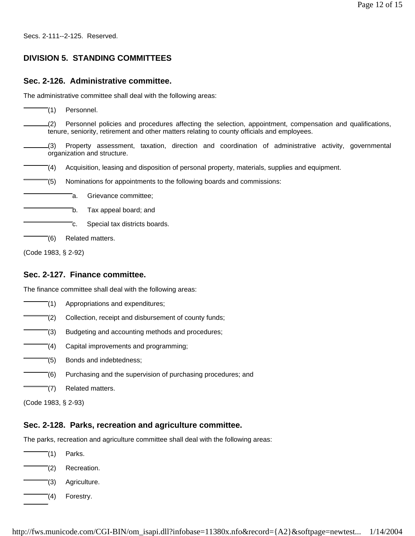Secs. 2-111--2-125. Reserved.

# **DIVISION 5. STANDING COMMITTEES**

# **Sec. 2-126. Administrative committee.**

The administrative committee shall deal with the following areas:

(1) Personnel.

(2) Personnel policies and procedures affecting the selection, appointment, compensation and qualifications, tenure, seniority, retirement and other matters relating to county officials and employees.

- (3) Property assessment, taxation, direction and coordination of administrative activity, governmental organization and structure.
- (4) Acquisition, leasing and disposition of personal property, materials, supplies and equipment.
- (5) Nominations for appointments to the following boards and commissions:
	- a. Grievance committee;
	- b. Tax appeal board; and
		- c. Special tax districts boards.
	- $\bar{e}$ (6) Related matters.

(Code 1983, § 2-92)

## **Sec. 2-127. Finance committee.**

The finance committee shall deal with the following areas:

- (1) Appropriations and expenditures; (2) Collection, receipt and disbursement of county funds; (3) Budgeting and accounting methods and procedures;
	- $\overline{C}(4)$  Capital improvements and programming;
- (5) Bonds and indebtedness;
- (6) Purchasing and the supervision of purchasing procedures; and
- (7) Related matters.

(Code 1983, § 2-93)

# **Sec. 2-128. Parks, recreation and agriculture committee.**

The parks, recreation and agriculture committee shall deal with the following areas:

- (1) Parks.
- (2) Recreation.
- (3) Agriculture.
	- (4) Forestry.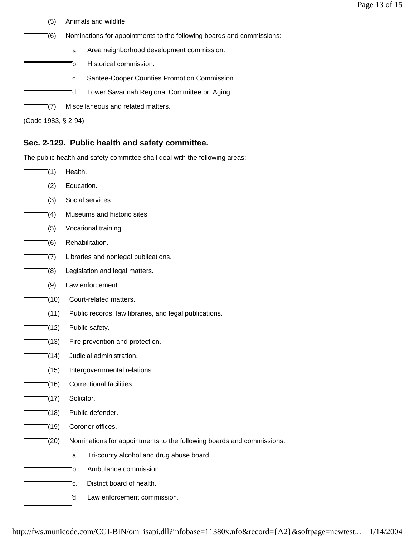- (5) Animals and wildlife.
- (6) Nominations for appointments to the following boards and commissions:
	- a. Area neighborhood development commission.
		- b. Historical commission.
		- c. Santee-Cooper Counties Promotion Commission.
		- d. Lower Savannah Regional Committee on Aging.
- (7) Miscellaneous and related matters.

(Code 1983, § 2-94)

# **Sec. 2-129. Public health and safety committee.**

The public health and safety committee shall deal with the following areas:

 $(1)$  Health.  $(2)$  Education. (3) Social services. (4) Museums and historic sites. (5) Vocational training. (6) Rehabilitation.  $(7)$  Libraries and nonlegal publications. (8) Legislation and legal matters. (9) Law enforcement. (10) Court-related matters. (11) Public records, law libraries, and legal publications. (12) Public safety.  $(13)$  Fire prevention and protection. (14) Judicial administration. (15) Intergovernmental relations. (16) Correctional facilities.  $(17)$  Solicitor. (18) Public defender. (19) Coroner offices. (20) Nominations for appointments to the following boards and commissions: a. Tri-county alcohol and drug abuse board. b. Ambulance commission. c. District board of health. d. Law enforcement commission.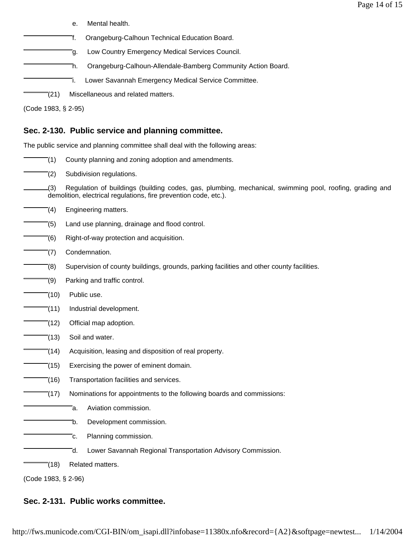e. Mental health.

f. Orangeburg-Calhoun Technical Education Board.

g. Low Country Emergency Medical Services Council.

h. Orangeburg-Calhoun-Allendale-Bamberg Community Action Board.

i. Lower Savannah Emergency Medical Service Committee.

(21) Miscellaneous and related matters.

(Code 1983, § 2-95)

# **Sec. 2-130. Public service and planning committee.**

The public service and planning committee shall deal with the following areas:

- (1) County planning and zoning adoption and amendments.
- (2) Subdivision regulations.

(3) Regulation of buildings (building codes, gas, plumbing, mechanical, swimming pool, roofing, grading and demolition, electrical regulations, fire prevention code, etc.).

- $\sqrt{a}$  Engineering matters.
- (5) Land use planning, drainage and flood control.
- (6) Right-of-way protection and acquisition.
- (7) Condemnation.
- (8) Supervision of county buildings, grounds, parking facilities and other county facilities.
- $\equiv$  (9) Parking and traffic control.
- $\overline{-(10)}$  Public use.
- $\sqrt{2}$ (11) Industrial development.
- $(12)$  Official map adoption.
- $(13)$  Soil and water.
- (14) Acquisition, leasing and disposition of real property.
- (15) Exercising the power of eminent domain.
- (16) Transportation facilities and services.
	- $\bar{a}$  (17) Nominations for appointments to the following boards and commissions:
		- a. Aviation commission.
		- b. Development commission.
		- c. Planning commission.
		- d. Lower Savannah Regional Transportation Advisory Commission.
- (18) Related matters.

(Code 1983, § 2-96)

# **Sec. 2-131. Public works committee.**